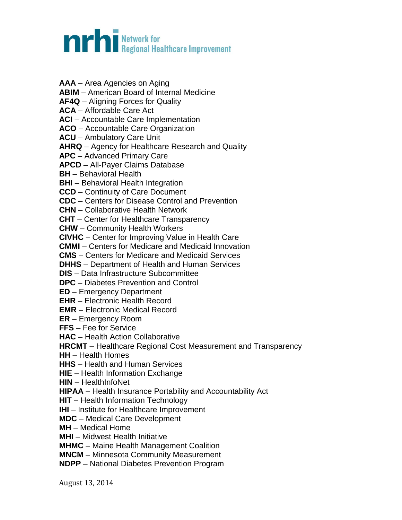## **nrhi** Network for<br>**In Party of the Second Healthcare Improvement**

- **AAA** Area Agencies on Aging
- **ABIM**  American Board of Internal Medicine

**AF4Q** – Aligning Forces for Quality

**ACA** – Affordable Care Act

**ACI** – Accountable Care Implementation

**ACO** – Accountable Care Organization

**ACU** – Ambulatory Care Unit

**AHRQ** – Agency for Healthcare Research and Quality

**APC** – Advanced Primary Care

**APCD** – All-Payer Claims Database

**BH** – Behavioral Health

**BHI** – Behavioral Health Integration

**CCD** – Continuity of Care Document

**CDC** – Centers for Disease Control and Prevention

**CHN** – Collaborative Health Network

**CHT** – Center for Healthcare Transparency

**CHW** – Community Health Workers

**CIVHC** – Center for Improving Value in Health Care

**CMMI** – Centers for Medicare and Medicaid Innovation

**CMS** – Centers for Medicare and Medicaid Services

**DHHS** – Department of Health and Human Services

**DIS** – Data Infrastructure Subcommittee

**DPC** – Diabetes Prevention and Control

**ED** – Emergency Department

**EHR** – Electronic Health Record

**EMR** – Electronic Medical Record

**ER** – Emergency Room

**FFS** – Fee for Service

**HAC** – Health Action Collaborative

**HRCMT** – Healthcare Regional Cost Measurement and Transparency

**HH** – Health Homes

**HHS** – Health and Human Services

**HIE** – Health Information Exchange

**HIN** – HealthInfoNet

**HIPAA** – Health Insurance Portability and Accountability Act

**HIT** – Health Information Technology

**IHI** – Institute for Healthcare Improvement

**MDC** – Medical Care Development

**MH** – Medical Home

**MHI** – Midwest Health Initiative

**MHMC** – Maine Health Management Coalition

**MNCM** – Minnesota Community Measurement

**NDPP** – National Diabetes Prevention Program

August 13, 2014